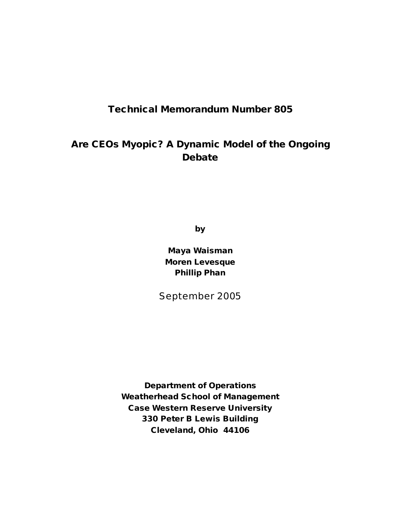## **Technical Memorandum Number 805**

# **Are CEOs Myopic? A Dynamic Model of the Ongoing Debate**

**by**

**Maya Waisman Moren Levesque Phillip Phan**

September 2005

**Department of Operations Weatherhead School of Management Case Western Reserve University 330 Peter B Lewis Building Cleveland, Ohio 44106**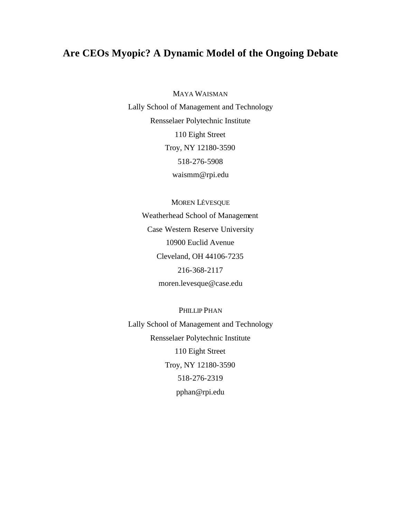## **Are CEOs Myopic? A Dynamic Model of the Ongoing Debate**

MAYA WAISMAN

Lally School of Management and Technology Rensselaer Polytechnic Institute 110 Eight Street Troy, NY 12180-3590 518-276-5908 waismm@rpi.edu

MOREN LÉVESQUE Weatherhead School of Management Case Western Reserve University 10900 Euclid Avenue Cleveland, OH 44106-7235 216-368-2117 moren.levesque@case.edu

PHILLIP PHAN Lally School of Management and Technology Rensselaer Polytechnic Institute 110 Eight Street Troy, NY 12180-3590 518-276-2319 pphan@rpi.edu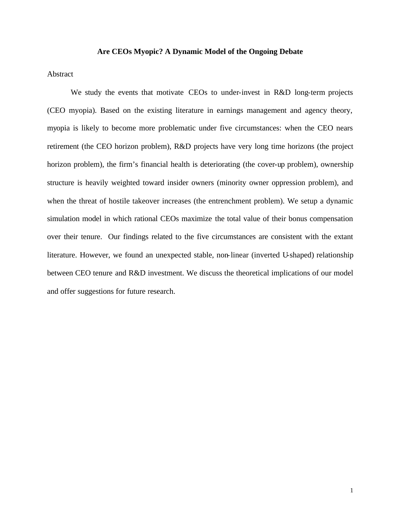#### **Are CEOs Myopic? A Dynamic Model of the Ongoing Debate**

#### Abstract

We study the events that motivate CEOs to under-invest in R&D long-term projects (CEO myopia). Based on the existing literature in earnings management and agency theory, myopia is likely to become more problematic under five circumstances: when the CEO nears retirement (the CEO horizon problem), R&D projects have very long time horizons (the project horizon problem), the firm's financial health is deteriorating (the cover-up problem), ownership structure is heavily weighted toward insider owners (minority owner oppression problem), and when the threat of hostile takeover increases (the entrenchment problem). We setup a dynamic simulation model in which rational CEOs maximize the total value of their bonus compensation over their tenure. Our findings related to the five circumstances are consistent with the extant literature. However, we found an unexpected stable, non-linear (inverted U-shaped) relationship between CEO tenure and R&D investment. We discuss the theoretical implications of our model and offer suggestions for future research.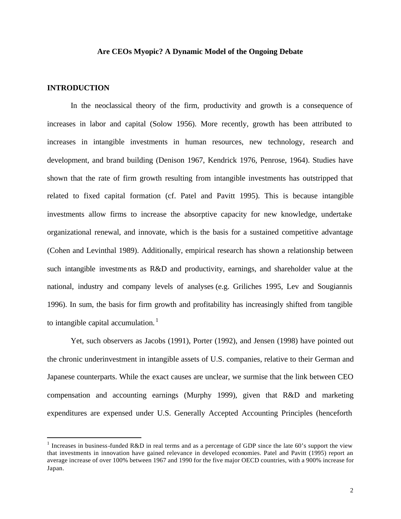## **Are CEOs Myopic? A Dynamic Model of the Ongoing Debate**

## **INTRODUCTION**

 $\overline{a}$ 

In the neoclassical theory of the firm, productivity and growth is a consequence of increases in labor and capital (Solow 1956). More recently, growth has been attributed to increases in intangible investments in human resources, new technology, research and development, and brand building (Denison 1967, Kendrick 1976, Penrose, 1964). Studies have shown that the rate of firm growth resulting from intangible investments has outstripped that related to fixed capital formation (cf. Patel and Pavitt 1995). This is because intangible investments allow firms to increase the absorptive capacity for new knowledge, undertake organizational renewal, and innovate, which is the basis for a sustained competitive advantage (Cohen and Levinthal 1989). Additionally, empirical research has shown a relationship between such intangible investments as R&D and productivity, earnings, and shareholder value at the national, industry and company levels of analyses (e.g. Griliches 1995, Lev and Sougiannis 1996). In sum, the basis for firm growth and profitability has increasingly shifted from tangible to intangible capital accumulation. $<sup>1</sup>$ </sup>

Yet, such observers as Jacobs (1991), Porter (1992), and Jensen (1998) have pointed out the chronic underinvestment in intangible assets of U.S. companies, relative to their German and Japanese counterparts. While the exact causes are unclear, we surmise that the link between CEO compensation and accounting earnings (Murphy 1999), given that R&D and marketing expenditures are expensed under U.S. Generally Accepted Accounting Principles (henceforth

<sup>&</sup>lt;sup>1</sup> Increases in business-funded R&D in real terms and as a percentage of GDP since the late 60's support the view that investments in innovation have gained relevance in developed economies. Patel and Pavitt (1995) report an average increase of over 100% between 1967 and 1990 for the five major OECD countries, with a 900% increase for Japan.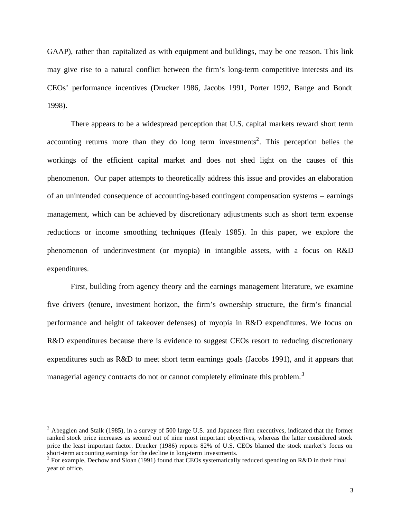GAAP), rather than capitalized as with equipment and buildings, may be one reason. This link may give rise to a natural conflict between the firm's long-term competitive interests and its CEOs' performance incentives (Drucker 1986, Jacobs 1991, Porter 1992, Bange and Bondt 1998).

There appears to be a widespread perception that U.S. capital markets reward short term accounting returns more than they do long term investments<sup>2</sup>. This perception belies the workings of the efficient capital market and does not shed light on the causes of this phenomenon. Our paper attempts to theoretically address this issue and provides an elaboration of an unintended consequence of accounting-based contingent compensation systems – earnings management, which can be achieved by discretionary adjustments such as short term expense reductions or income smoothing techniques (Healy 1985). In this paper, we explore the phenomenon of underinvestment (or myopia) in intangible assets, with a focus on R&D expenditures.

First, building from agency theory and the earnings management literature, we examine five drivers (tenure, investment horizon, the firm's ownership structure, the firm's financial performance and height of takeover defenses) of myopia in R&D expenditures. We focus on R&D expenditures because there is evidence to suggest CEOs resort to reducing discretionary expenditures such as R&D to meet short term earnings goals (Jacobs 1991), and it appears that managerial agency contracts do not or cannot completely eliminate this problem.<sup>3</sup>

 $\overline{a}$ 

 $2$  Abegglen and Stalk (1985), in a survey of 500 large U.S. and Japanese firm executives, indicated that the former ranked stock price increases as second out of nine most important objectives, whereas the latter considered stock price the least important factor. Drucker (1986) reports 82% of U.S. CEOs blamed the stock market's focus on short-term accounting earnings for the decline in long-term investments.

<sup>&</sup>lt;sup>3</sup> For example, Dechow and Sloan (1991) found that CEOs systematically reduced spending on R&D in their final year of office.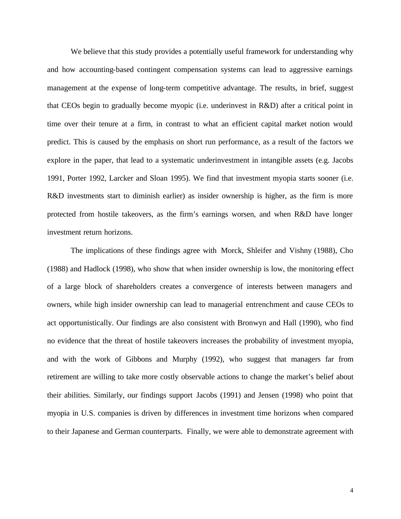We believe that this study provides a potentially useful framework for understanding why and how accounting-based contingent compensation systems can lead to aggressive earnings management at the expense of long-term competitive advantage. The results, in brief, suggest that CEOs begin to gradually become myopic (i.e. underinvest in R&D) after a critical point in time over their tenure at a firm, in contrast to what an efficient capital market notion would predict. This is caused by the emphasis on short run performance, as a result of the factors we explore in the paper, that lead to a systematic underinvestment in intangible assets (e.g. Jacobs 1991, Porter 1992, Larcker and Sloan 1995). We find that investment myopia starts sooner (i.e. R&D investments start to diminish earlier) as insider ownership is higher, as the firm is more protected from hostile takeovers, as the firm's earnings worsen, and when R&D have longer investment return horizons.

The implications of these findings agree with Morck, Shleifer and Vishny (1988), Cho (1988) and Hadlock (1998), who show that when insider ownership is low, the monitoring effect of a large block of shareholders creates a convergence of interests between managers and owners, while high insider ownership can lead to managerial entrenchment and cause CEOs to act opportunistically. Our findings are also consistent with Bronwyn and Hall (1990), who find no evidence that the threat of hostile takeovers increases the probability of investment myopia, and with the work of Gibbons and Murphy (1992), who suggest that managers far from retirement are willing to take more costly observable actions to change the market's belief about their abilities. Similarly, our findings support Jacobs (1991) and Jensen (1998) who point that myopia in U.S. companies is driven by differences in investment time horizons when compared to their Japanese and German counterparts. Finally, we were able to demonstrate agreement with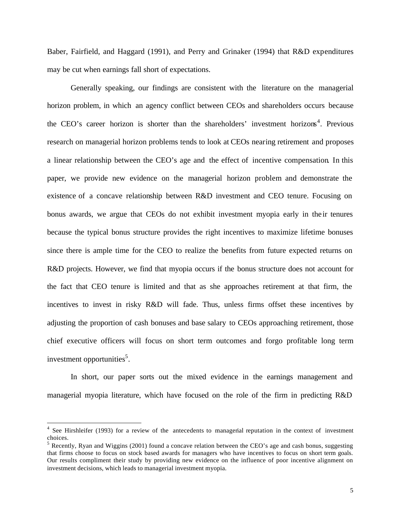Baber, Fairfield, and Haggard (1991), and Perry and Grinaker (1994) that R&D expenditures may be cut when earnings fall short of expectations.

Generally speaking, our findings are consistent with the literature on the managerial horizon problem, in which an agency conflict between CEOs and shareholders occurs because the CEO's career horizon is shorter than the shareholders' investment horizons<sup>4</sup>. Previous research on managerial horizon problems tends to look at CEOs nearing retirement and proposes a linear relationship between the CEO's age and the effect of incentive compensation. In this paper, we provide new evidence on the managerial horizon problem and demonstrate the existence of a concave relationship between R&D investment and CEO tenure. Focusing on bonus awards, we argue that CEOs do not exhibit investment myopia early in the ir tenures because the typical bonus structure provides the right incentives to maximize lifetime bonuses since there is ample time for the CEO to realize the benefits from future expected returns on R&D projects. However, we find that myopia occurs if the bonus structure does not account for the fact that CEO tenure is limited and that as she approaches retirement at that firm, the incentives to invest in risky R&D will fade. Thus, unless firms offset these incentives by adjusting the proportion of cash bonuses and base salary to CEOs approaching retirement, those chief executive officers will focus on short term outcomes and forgo profitable long term investment opportunities<sup>5</sup>.

In short, our paper sorts out the mixed evidence in the earnings management and managerial myopia literature, which have focused on the role of the firm in predicting R&D

 $\overline{a}$ 

<sup>&</sup>lt;sup>4</sup> See Hirshleifer (1993) for a review of the antecedents to managerial reputation in the context of investment choices.

<sup>&</sup>lt;sup>5</sup> Recently, Ryan and Wiggins (2001) found a concave relation between the CEO's age and cash bonus, suggesting that firms choose to focus on stock based awards for managers who have incentives to focus on short term goals. Our results compliment their study by providing new evidence on the influence of poor incentive alignment on investment decisions, which leads to managerial investment myopia.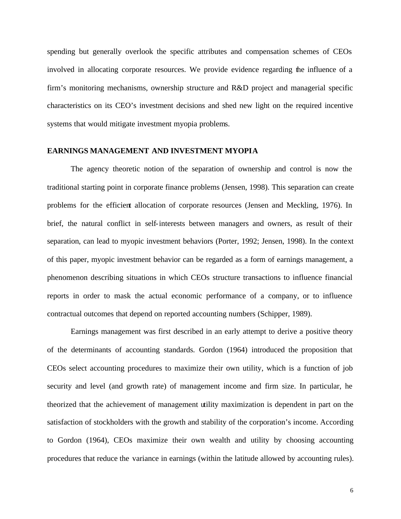spending but generally overlook the specific attributes and compensation schemes of CEOs involved in allocating corporate resources. We provide evidence regarding the influence of a firm's monitoring mechanisms, ownership structure and R&D project and managerial specific characteristics on its CEO's investment decisions and shed new light on the required incentive systems that would mitigate investment myopia problems.

## **EARNINGS MANAGEMENT AND INVESTMENT MYOPIA**

The agency theoretic notion of the separation of ownership and control is now the traditional starting point in corporate finance problems (Jensen, 1998). This separation can create problems for the efficient allocation of corporate resources (Jensen and Meckling, 1976). In brief, the natural conflict in self-interests between managers and owners, as result of their separation, can lead to myopic investment behaviors (Porter, 1992; Jensen, 1998). In the context of this paper, myopic investment behavior can be regarded as a form of earnings management, a phenomenon describing situations in which CEOs structure transactions to influence financial reports in order to mask the actual economic performance of a company, or to influence contractual outcomes that depend on reported accounting numbers (Schipper, 1989).

Earnings management was first described in an early attempt to derive a positive theory of the determinants of accounting standards. Gordon (1964) introduced the proposition that CEOs select accounting procedures to maximize their own utility, which is a function of job security and level (and growth rate) of management income and firm size. In particular, he theorized that the achievement of management utility maximization is dependent in part on the satisfaction of stockholders with the growth and stability of the corporation's income. According to Gordon (1964), CEOs maximize their own wealth and utility by choosing accounting procedures that reduce the variance in earnings (within the latitude allowed by accounting rules).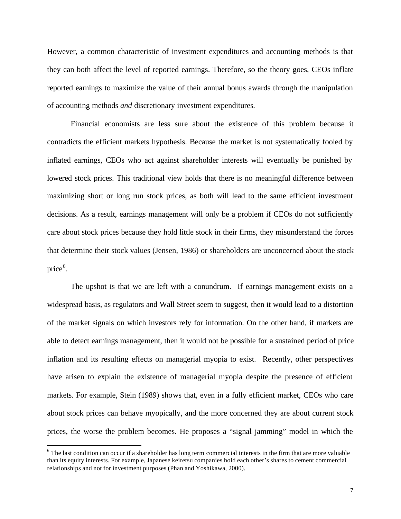However, a common characteristic of investment expenditures and accounting methods is that they can both affect the level of reported earnings. Therefore, so the theory goes, CEOs inflate reported earnings to maximize the value of their annual bonus awards through the manipulation of accounting methods *and* discretionary investment expenditures*.*

Financial economists are less sure about the existence of this problem because it contradicts the efficient markets hypothesis. Because the market is not systematically fooled by inflated earnings, CEOs who act against shareholder interests will eventually be punished by lowered stock prices. This traditional view holds that there is no meaningful difference between maximizing short or long run stock prices, as both will lead to the same efficient investment decisions. As a result, earnings management will only be a problem if CEOs do not sufficiently care about stock prices because they hold little stock in their firms, they misunderstand the forces that determine their stock values (Jensen, 1986) or shareholders are unconcerned about the stock price<sup>6</sup>.

The upshot is that we are left with a conundrum. If earnings management exists on a widespread basis, as regulators and Wall Street seem to suggest, then it would lead to a distortion of the market signals on which investors rely for information. On the other hand, if markets are able to detect earnings management, then it would not be possible for a sustained period of price inflation and its resulting effects on managerial myopia to exist. Recently, other perspectives have arisen to explain the existence of managerial myopia despite the presence of efficient markets. For example, Stein (1989) shows that, even in a fully efficient market, CEOs who care about stock prices can behave myopically, and the more concerned they are about current stock prices, the worse the problem becomes. He proposes a "signal jamming" model in which the

 $\overline{a}$ 

 $6$  The last condition can occur if a shareholder has long term commercial interests in the firm that are more valuable than its equity interests. For example, Japanese keiretsu companies hold each other's shares to cement commercial relationships and not for investment purposes (Phan and Yoshikawa, 2000).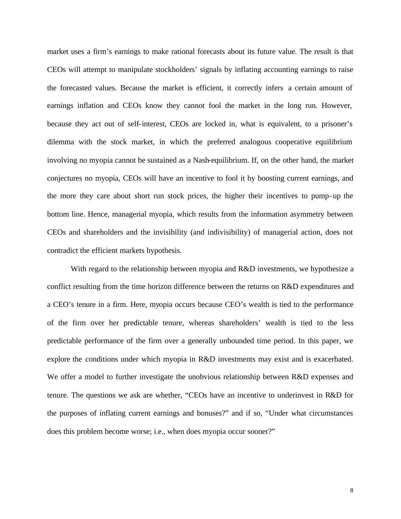market uses a firm's earnings to make rational forecasts about its future value. The result is that CEOs will attempt to manipulate stockholders' signals by inflating accounting earnings to raise the forecasted values. Because the market is efficient, it correctly infers a certain amount of earnings inflation and CEOs know they cannot fool the market in the long run. However, because they act out of self-interest, CEOs are locked in, what is equivalent, to a prisoner's dilemma with the stock market, in which the preferred analogous cooperative equilibrium involving no myopia cannot be sustained as a Nash-equilibrium. If, on the other hand, the market conjectures no myopia, CEOs will have an incentive to fool it by boosting current earnings, and the more they care about short run stock prices, the higher their incentives to pump-up the bottom line. Hence, managerial myopia, which results from the information asymmetry between CEOs and shareholders and the invisibility (and indivisibility) of managerial action, does not contradict the efficient markets hypothesis.

With regard to the relationship between myopia and R&D investments, we hypothesize a conflict resulting from the time horizon difference between the returns on R&D expenditures and a CEO's tenure in a firm. Here, myopia occurs because CEO's wealth is tied to the performance of the firm over her predictable tenure, whereas shareholders' wealth is tied to the less predictable performance of the firm over a generally unbounded time period. In this paper, we explore the conditions under which myopia in R&D investments may exist and is exacerbated. We offer a model to further investigate the unobvious relationship between R&D expenses and tenure. The questions we ask are whether, "CEOs have an incentive to underinvest in R&D for the purposes of inflating current earnings and bonuses?" and if so, "Under what circumstances does this problem become worse; i.e., when does myopia occur sooner?"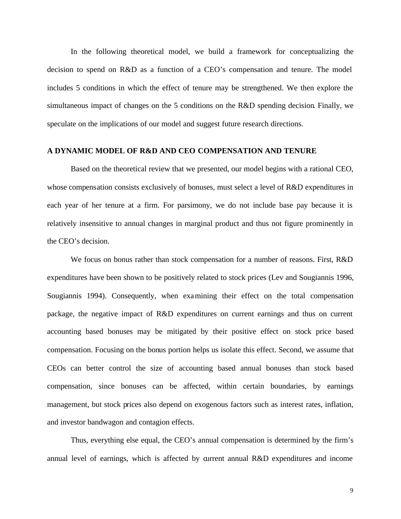In the following theoretical model, we build a framework for conceptualizing the decision to spend on R&D as a function of a CEO's compensation and tenure. The model includes 5 conditions in which the effect of tenure may be strengthened. We then explore the simultaneous impact of changes on the 5 conditions on the R&D spending decision. Finally, we speculate on the implications of our model and suggest future research directions.

## **A DYNAMIC MODEL OF R&D AND CEO COMPENSATION AND TENURE**

Based on the theoretical review that we presented, our model begins with a rational CEO, whose compensation consists exclusively of bonuses, must select a level of R&D expenditures in each year of her tenure at a firm. For parsimony, we do not include base pay because it is relatively insensitive to annual changes in marginal product and thus not figure prominently in the CEO's decision.

We focus on bonus rather than stock compensation for a number of reasons. First, R&D expenditures have been shown to be positively related to stock prices (Lev and Sougiannis 1996, Sougiannis 1994). Consequently, when examining their effect on the total compensation package, the negative impact of R&D expenditures on current earnings and thus on current accounting based bonuses may be mitigated by their positive effect on stock price based compensation. Focusing on the bonus portion helps us isolate this effect. Second, we assume that CEOs can better control the size of accounting based annual bonuses than stock based compensation, since bonuses can be affected, within certain boundaries, by earnings management, but stock prices also depend on exogenous factors such as interest rates, inflation, and investor bandwagon and contagion effects.

Thus, everything else equal, the CEO's annual compensation is determined by the firm's annual level of earnings, which is affected by current annual R&D expenditures and income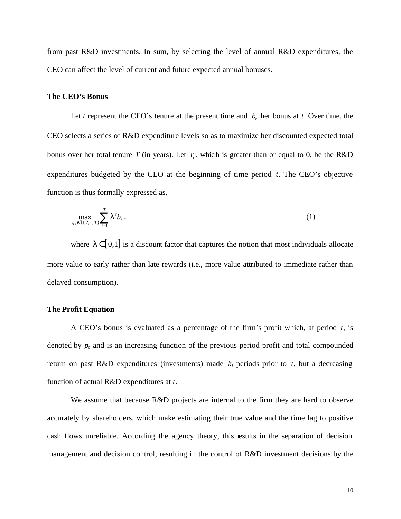from past R&D investments. In sum, by selecting the level of annual R&D expenditures, the CEO can affect the level of current and future expected annual bonuses.

#### **The CEO's Bonus**

Let *t* represent the CEO's tenure at the present time and  $b<sub>t</sub>$  her bonus at *t*. Over time, the CEO selects a series of R&D expenditure levels so as to maximize her discounted expected total bonus over her total tenure *T* (in years). Let  $r_t$ , which is greater than or equal to 0, be the R&D expenditures budgeted by the CEO at the beginning of time period *t*. The CEO's objective function is thus formally expressed as,

$$
\max_{\tau, \tau \in \{1, 2, \dots, T\}} \sum_{t=1}^{T} \bm{I}^t b_t,
$$
\n(1)

where  $I \in [0,1]$  is a discount factor that captures the notion that most individuals allocate more value to early rather than late rewards (i.e., more value attributed to immediate rather than delayed consumption).

## **The Profit Equation**

A CEO's bonus is evaluated as a percentage of the firm's profit which, at period *t*, is denoted by  $p_t$  and is an increasing function of the previous period profit and total compounded return on past R&D expenditures (investments) made  $k_t$  periods prior to  $t$ , but a decreasing function of actual R&D expenditures at *t*.

We assume that because R&D projects are internal to the firm they are hard to observe accurately by shareholders, which make estimating their true value and the time lag to positive cash flows unreliable. According the agency theory, this results in the separation of decision management and decision control, resulting in the control of R&D investment decisions by the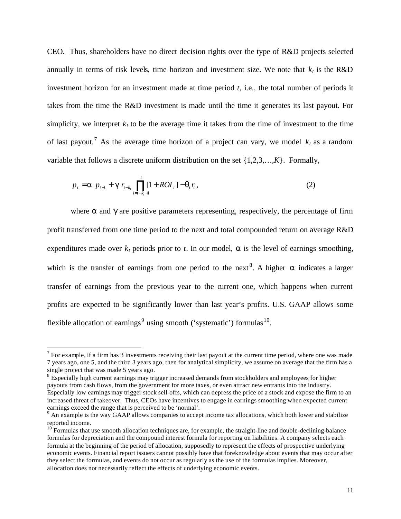CEO. Thus, shareholders have no direct decision rights over the type of R&D projects selected annually in terms of risk levels, time horizon and investment size. We note that  $k_t$  is the R&D investment horizon for an investment made at time period *t*, i.e., the total number of periods it takes from the time the R&D investment is made until the time it generates its last payout. For simplicity, we interpret  $k_t$  to be the average time it takes from the time of investment to the time of last payout.<sup>7</sup> As the average time horizon of a project can vary, we model  $k_t$  as a random variable that follows a discrete uniform distribution on the set {1,2,3,…,*K*}. Formally,

$$
p_{t} = \mathbf{a} \ p_{t-1} + \mathbf{g} \ r_{t-k_{t}} \prod_{i=t-k_{t}+1}^{t} [1 + ROI_{i}] - \mathbf{q}_{t} r_{t}, \tag{2}
$$

where **a** and **g** are positive parameters representing, respectively, the percentage of firm profit transferred from one time period to the next and total compounded return on average R&D expenditures made over  $k_t$  periods prior to  $t$ . In our model,  $a$  is the level of earnings smoothing, which is the transfer of earnings from one period to the next<sup>8</sup>. A higher  $\boldsymbol{a}$  indicates a larger transfer of earnings from the previous year to the current one, which happens when current profits are expected to be significantly lower than last year's profits. U.S. GAAP allows some flexible allocation of earnings<sup>9</sup> using smooth ('systematic') formulas<sup>10</sup>.

 $\overline{a}$ 

 $<sup>7</sup>$  For example, if a firm has 3 investments receiving their last payout at the current time period, where one was made</sup> 7 years ago, one 5, and the third 3 years ago, then for analytical simplicity, we assume on average that the firm has a single project that was made 5 years ago.

<sup>&</sup>lt;sup>8</sup> Especially high current earnings may trigger increased demands from stockholders and employees for higher payouts from cash flows, from the government for more taxes, or even attract new entrants into the industry. Especially low earnings may trigger stock sell-offs, which can depress the price of a stock and expose the firm to an increased threat of takeover. Thus, CEOs have incentives to engage in earnings smoothing when expected current earnings exceed the range that is perceived to be 'normal'.

<sup>&</sup>lt;sup>9</sup> An example is the way GAAP allows companies to accept income tax allocations, which both lower and stabilize reported income.

 $10^{10}$  Formulas that use smooth allocation techniques are, for example, the straight-line and double-declining-balance formulas for depreciation and the compound interest formula for reporting on liabilities. A company selects each formula at the beginning of the period of allocation, supposedly to represent the effects of prospective underlying economic events. Financial report issuers cannot possibly have that foreknowledge about events that may occur after they select the formulas, and events do not occur as regularly as the use of the formulas implies. Moreover, allocation does not necessarily reflect the effects of underlying economic events.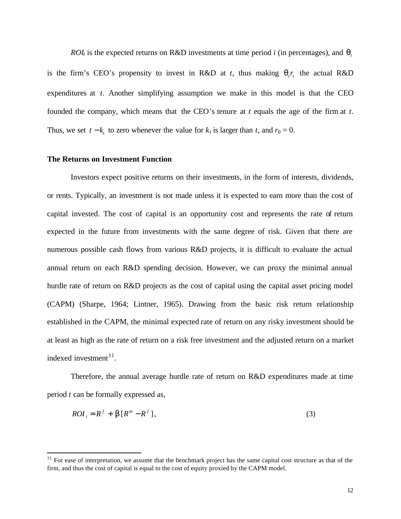*ROI*<sup>*i*</sup> is the expected returns on R&D investments at time period *i* (in percentages), and  $q_t$ is the firm's CEO's propensity to invest in R&D at *t*, thus making  $q_i r_i$ , the actual R&D expenditures at *t*. Another simplifying assumption we make in this model is that the CEO founded the company, which means that the CEO's tenure at *t* equals the age of the firm at *t*. Thus, we set  $t - k_t$  to zero whenever the value for  $k_t$  is larger than  $t$ , and  $r_0 = 0$ .

## **The Returns on Investment Function**

 $\overline{a}$ 

Investors expect positive returns on their investments, in the form of interests, dividends, or rents. Typically, an investment is not made unless it is expected to earn more than the cost of capital invested. The cost of capital is an opportunity cost and represents the rate of return expected in the future from investments with the same degree of risk. Given that there are numerous possible cash flows from various R&D projects, it is difficult to evaluate the actual annual return on each R&D spending decision. However, we can proxy the minimal annual hurdle rate of return on R&D projects as the cost of capital using the capital asset pricing model (CAPM) (Sharpe, 1964; Lintner, 1965). Drawing from the basic risk return relationship established in the CAPM, the minimal expected rate of return on any risky investment should be at least as high as the rate of return on a risk free investment and the adjusted return on a market indexed investment $11$ .

Therefore, the annual average hurdle rate of return on R&D expenditures made at time period *t* can be formally expressed as,

$$
ROIt = Rf + b[Rm - Rf],
$$
\n(3)

 $11$  For ease of interpretation, we assume that the benchmark project has the same capital cost structure as that of the firm, and thus the cost of capital is equal to the cost of equity proxied by the CAPM model.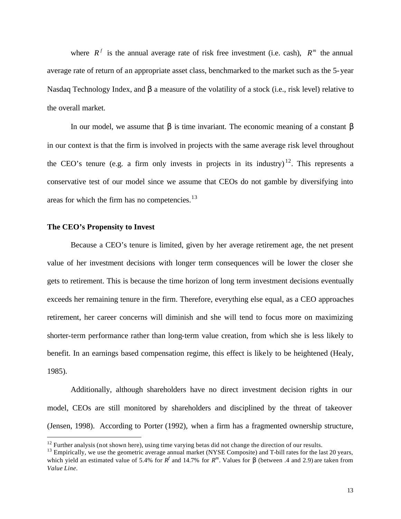where  $R^f$  is the annual average rate of risk free investment (i.e. cash),  $R^m$  the annual average rate of return of an appropriate asset class, benchmarked to the market such as the 5-year Nasdaq Technology Index, and *b* a measure of the volatility of a stock (i.e., risk level) relative to the overall market.

In our model, we assume that *b* is time invariant. The economic meaning of a constant *b* in our context is that the firm is involved in projects with the same average risk level throughout the CEO's tenure (e.g. a firm only invests in projects in its industry)<sup>12</sup>. This represents a conservative test of our model since we assume that CEOs do not gamble by diversifying into areas for which the firm has no competencies. $13$ 

## **The CEO's Propensity to Invest**

 $\overline{a}$ 

Because a CEO's tenure is limited, given by her average retirement age, the net present value of her investment decisions with longer term consequences will be lower the closer she gets to retirement. This is because the time horizon of long term investment decisions eventually exceeds her remaining tenure in the firm. Therefore, everything else equal, as a CEO approaches retirement, her career concerns will diminish and she will tend to focus more on maximizing shorter-term performance rather than long-term value creation, from which she is less likely to benefit. In an earnings based compensation regime, this effect is likely to be heightened (Healy, 1985).

Additionally, although shareholders have no direct investment decision rights in our model, CEOs are still monitored by shareholders and disciplined by the threat of takeover (Jensen, 1998). According to Porter (1992), when a firm has a fragmented ownership structure,

 $12$  Further analysis (not shown here), using time varying betas did not change the direction of our results.

 $^{13}$  Empirically, we use the geometric average annual market (NYSE Composite) and T-bill rates for the last 20 years, which yield an estimated value of 5.4% for  $R^f$  and 14.7% for  $R^m$ . Values for **b** (between .4 and 2.9) are taken from *Value Line*.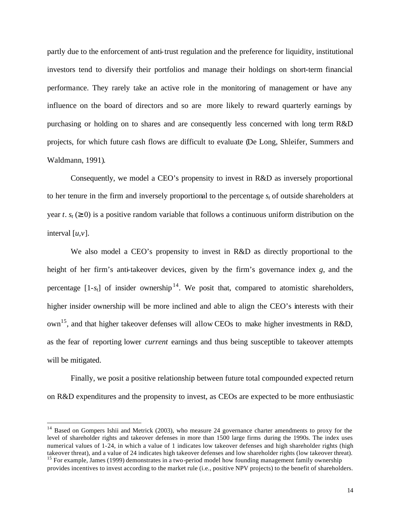partly due to the enforcement of anti-trust regulation and the preference for liquidity, institutional investors tend to diversify their portfolios and manage their holdings on short-term financial performance. They rarely take an active role in the monitoring of management or have any influence on the board of directors and so are more likely to reward quarterly earnings by purchasing or holding on to shares and are consequently less concerned with long term R&D projects, for which future cash flows are difficult to evaluate (De Long, Shleifer, Summers and Waldmann, 1991).

Consequently, we model a CEO's propensity to invest in R&D as inversely proportional to her tenure in the firm and inversely proportional to the percentage *st* of outside shareholders at year *t*.  $s_t$  ( $\geq$  0) is a positive random variable that follows a continuous uniform distribution on the interval [*u*,*v*].

We also model a CEO's propensity to invest in R&D as directly proportional to the height of her firm's anti-takeover devices, given by the firm's governance index *g*, and the percentage  $[1-s_t]$  of insider ownership<sup>14</sup>. We posit that, compared to atomistic shareholders, higher insider ownership will be more inclined and able to align the CEO's interests with their  $own<sup>15</sup>$ , and that higher takeover defenses will allow CEOs to make higher investments in R&D, as the fear of reporting lower *current* earnings and thus being susceptible to takeover attempts will be mitigated.

Finally, we posit a positive relationship between future total compounded expected return on R&D expenditures and the propensity to invest, as CEOs are expected to be more enthusiastic

 $\overline{a}$ 

<sup>&</sup>lt;sup>14</sup> Based on Gompers Ishii and Metrick (2003), who measure 24 governance charter amendments to proxy for the level of shareholder rights and takeover defenses in more than 1500 large firms during the 1990s. The index uses numerical values of 1-24, in which a value of 1 indicates low takeover defenses and high shareholder rights (high takeover threat), and a value of 24 indicates high takeover defenses and low shareholder rights (low takeover threat).

<sup>&</sup>lt;sup>15</sup> For example, James (1999) demonstrates in a two-period model how founding management family ownership provides incentives to invest according to the market rule (i.e., positive NPV projects) to the benefit of shareholders.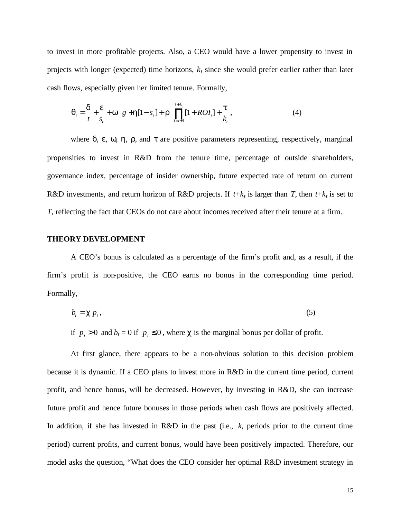to invest in more profitable projects. Also, a CEO would have a lower propensity to invest in projects with longer (expected) time horizons, *kt* since she would prefer earlier rather than later cash flows, especially given her limited tenure. Formally,

$$
\mathbf{q}_{t} = \frac{\mathbf{d}}{t} + \frac{\mathbf{e}}{s_{t}} + \mathbf{w} \ \ g + \mathbf{h}[1 - s_{t}] + \mathbf{r} \ \prod_{i=t+1}^{t+k_{t}} [1 + ROI_{i}] + \frac{\mathbf{t}}{k_{t}}, \tag{4}
$$

where  $d$ ,  $e$ ,  $w$ ,  $h$ ,  $r$ , and  $t$  are positive parameters representing, respectively, marginal propensities to invest in R&D from the tenure time, percentage of outside shareholders, governance index, percentage of insider ownership, future expected rate of return on current R&D investments, and return horizon of R&D projects. If  $t+k_t$  is larger than *T*, then  $t+k_t$  is set to *T*, reflecting the fact that CEOs do not care about incomes received after their tenure at a firm.

## **THEORY DEVELOPMENT**

A CEO's bonus is calculated as a percentage of the firm's profit and, as a result, if the firm's profit is non-positive, the CEO earns no bonus in the corresponding time period. Formally,

$$
b_t = \mathbf{c} \, p_t \,, \tag{5}
$$

if  $p_t > 0$  and  $b_t = 0$  if  $p_t \le 0$ , where *c* is the marginal bonus per dollar of profit.

At first glance, there appears to be a non-obvious solution to this decision problem because it is dynamic. If a CEO plans to invest more in R&D in the current time period, current profit, and hence bonus, will be decreased. However, by investing in R&D, she can increase future profit and hence future bonuses in those periods when cash flows are positively affected. In addition, if she has invested in R&D in the past (i.e.,  $k_t$  periods prior to the current time period) current profits, and current bonus, would have been positively impacted. Therefore, our model asks the question, "What does the CEO consider her optimal R&D investment strategy in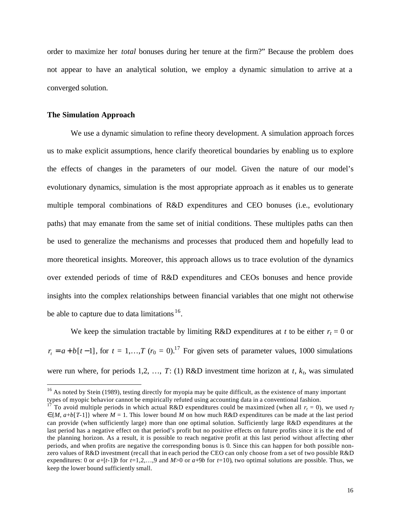order to maximize her *total* bonuses during her tenure at the firm?" Because the problem does not appear to have an analytical solution, we employ a dynamic simulation to arrive at a converged solution.

## **The Simulation Approach**

 $\overline{a}$ 

We use a dynamic simulation to refine theory development. A simulation approach forces us to make explicit assumptions, hence clarify theoretical boundaries by enabling us to explore the effects of changes in the parameters of our model. Given the nature of our model's evolutionary dynamics, simulation is the most appropriate approach as it enables us to generate multiple temporal combinations of R&D expenditures and CEO bonuses (i.e., evolutionary paths) that may emanate from the same set of initial conditions. These multiples paths can then be used to generalize the mechanisms and processes that produced them and hopefully lead to more theoretical insights. Moreover, this approach allows us to trace evolution of the dynamics over extended periods of time of R&D expenditures and CEOs bonuses and hence provide insights into the complex relationships between financial variables that one might not otherwise be able to capture due to data limitations  $16$ .

We keep the simulation tractable by limiting R&D expenditures at *t* to be either  $r<sub>t</sub> = 0$  or  $r_t = a + b[t-1]$ , for  $t = 1,...,T$  ( $r_0 = 0$ ).<sup>17</sup> For given sets of parameter values, 1000 simulations were run where, for periods 1,2, …, *T*: (1) R&D investment time horizon at *t*, *kt*, was simulated

 $16$  As noted by Stein (1989), testing directly for myopia may be quite difficult, as the existence of many important types of myopic behavior cannot be empirically refuted using accounting data in a conventional fashion.

<sup>&</sup>lt;sup>17</sup> To avoid multiple periods in which actual R&D expenditures could be maximized (when all  $r_t = 0$ ), we used  $r_T$ ∈{*M*, *a*+*b*[*T*-1]} where *M* = 1. This lower bound *M* on how much R&D expenditures can be made at the last period can provide (when sufficiently large) more than one optimal solution. Sufficiently large R&D expenditures at the last period has a negative effect on that period's profit but no positive effects on future profits since it is the end of the planning horizon. As a result, it is possible to reach negative profit at this last period without affecting other periods, and when profits are negative the corresponding bonus is 0. Since this can happen for both possible nonzero values of R&D investment (recall that in each period the CEO can only choose from a set of two possible R&D expenditures: 0 or  $a+[t-1]b$  for  $t=1,2,...,9$  and  $M>0$  or  $a+9b$  for  $t=10$ ), two optimal solutions are possible. Thus, we keep the lower bound sufficiently small.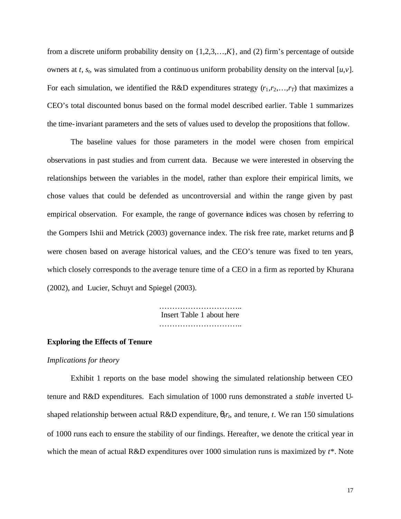from a discrete uniform probability density on  $\{1,2,3,\ldots,K\}$ , and (2) firm's percentage of outside owners at *t*,  $s_t$ , was simulated from a continuous uniform probability density on the interval [ $u, v$ ]. For each simulation, we identified the R&D expenditures strategy  $(r_1, r_2, \ldots, r_T)$  that maximizes a CEO's total discounted bonus based on the formal model described earlier. Table 1 summarizes the time-invariant parameters and the sets of values used to develop the propositions that follow.

The baseline values for those parameters in the model were chosen from empirical observations in past studies and from current data. Because we were interested in observing the relationships between the variables in the model, rather than explore their empirical limits, we chose values that could be defended as uncontroversial and within the range given by past empirical observation. For example, the range of governance indices was chosen by referring to the Gompers Ishii and Metrick (2003) governance index. The risk free rate, market returns and *b* were chosen based on average historical values, and the CEO's tenure was fixed to ten years, which closely corresponds to the average tenure time of a CEO in a firm as reported by Khurana (2002), and Lucier, Schuyt and Spiegel (2003).

> …………………………………… Insert Table 1 about here …………………………..

## **Exploring the Effects of Tenure**

#### *Implications for theory*

Exhibit 1 reports on the base model showing the simulated relationship between CEO tenure and R&D expenditures. Each simulation of 1000 runs demonstrated a *stable* inverted Ushaped relationship between actual R&D expenditure,  $q<sub>t</sub>r<sub>t</sub>$ , and tenure, *t*. We ran 150 simulations of 1000 runs each to ensure the stability of our findings. Hereafter, we denote the critical year in which the mean of actual R&D expenditures over 1000 simulation runs is maximized by *t*\*. Note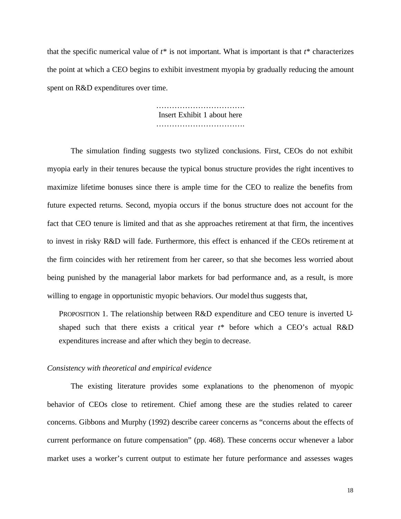that the specific numerical value of  $t^*$  is not important. What is important is that  $t^*$  characterizes the point at which a CEO begins to exhibit investment myopia by gradually reducing the amount spent on R&D expenditures over time.

> ……………………………. Insert Exhibit 1 about here ………………………………………

The simulation finding suggests two stylized conclusions. First, CEOs do not exhibit myopia early in their tenures because the typical bonus structure provides the right incentives to maximize lifetime bonuses since there is ample time for the CEO to realize the benefits from future expected returns. Second, myopia occurs if the bonus structure does not account for the fact that CEO tenure is limited and that as she approaches retirement at that firm, the incentives to invest in risky R&D will fade. Furthermore, this effect is enhanced if the CEOs retirement at the firm coincides with her retirement from her career, so that she becomes less worried about being punished by the managerial labor markets for bad performance and, as a result, is more willing to engage in opportunistic myopic behaviors. Our model thus suggests that,

PROPOSITION 1. The relationship between R&D expenditure and CEO tenure is inverted Ushaped such that there exists a critical year *t*\* before which a CEO's actual R&D expenditures increase and after which they begin to decrease.

#### *Consistency with theoretical and empirical evidence*

The existing literature provides some explanations to the phenomenon of myopic behavior of CEOs close to retirement. Chief among these are the studies related to career concerns. Gibbons and Murphy (1992) describe career concerns as "concerns about the effects of current performance on future compensation" (pp. 468). These concerns occur whenever a labor market uses a worker's current output to estimate her future performance and assesses wages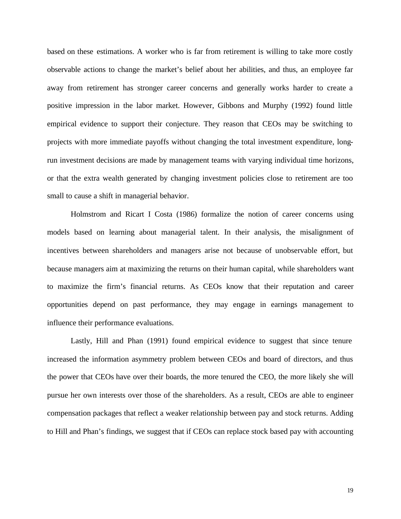based on these estimations. A worker who is far from retirement is willing to take more costly observable actions to change the market's belief about her abilities, and thus, an employee far away from retirement has stronger career concerns and generally works harder to create a positive impression in the labor market. However, Gibbons and Murphy (1992) found little empirical evidence to support their conjecture. They reason that CEOs may be switching to projects with more immediate payoffs without changing the total investment expenditure, longrun investment decisions are made by management teams with varying individual time horizons, or that the extra wealth generated by changing investment policies close to retirement are too small to cause a shift in managerial behavior.

Holmstrom and Ricart I Costa (1986) formalize the notion of career concerns using models based on learning about managerial talent. In their analysis, the misalignment of incentives between shareholders and managers arise not because of unobservable effort, but because managers aim at maximizing the returns on their human capital, while shareholders want to maximize the firm's financial returns. As CEOs know that their reputation and career opportunities depend on past performance, they may engage in earnings management to influence their performance evaluations.

Lastly, Hill and Phan (1991) found empirical evidence to suggest that since tenure increased the information asymmetry problem between CEOs and board of directors, and thus the power that CEOs have over their boards, the more tenured the CEO, the more likely she will pursue her own interests over those of the shareholders. As a result, CEOs are able to engineer compensation packages that reflect a weaker relationship between pay and stock returns. Adding to Hill and Phan's findings, we suggest that if CEOs can replace stock based pay with accounting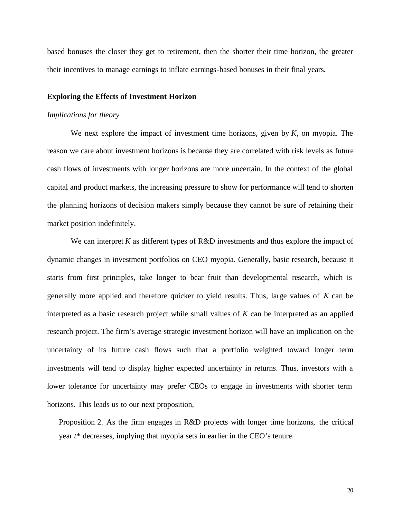based bonuses the closer they get to retirement, then the shorter their time horizon, the greater their incentives to manage earnings to inflate earnings-based bonuses in their final years.

#### **Exploring the Effects of Investment Horizon**

#### *Implications for theory*

We next explore the impact of investment time horizons, given by *K*, on myopia. The reason we care about investment horizons is because they are correlated with risk levels as future cash flows of investments with longer horizons are more uncertain. In the context of the global capital and product markets, the increasing pressure to show for performance will tend to shorten the planning horizons of decision makers simply because they cannot be sure of retaining their market position indefinitely.

We can interpret  $K$  as different types of  $R&D$  investments and thus explore the impact of dynamic changes in investment portfolios on CEO myopia. Generally, basic research, because it starts from first principles, take longer to bear fruit than developmental research, which is generally more applied and therefore quicker to yield results. Thus, large values of *K* can be interpreted as a basic research project while small values of *K* can be interpreted as an applied research project. The firm's average strategic investment horizon will have an implication on the uncertainty of its future cash flows such that a portfolio weighted toward longer term investments will tend to display higher expected uncertainty in returns. Thus, investors with a lower tolerance for uncertainty may prefer CEOs to engage in investments with shorter term horizons. This leads us to our next proposition,

Proposition 2. As the firm engages in R&D projects with longer time horizons, the critical year *t*\* decreases, implying that myopia sets in earlier in the CEO's tenure.

20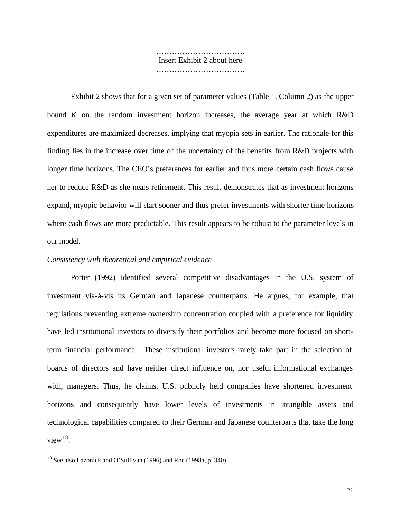……………………………. Insert Exhibit 2 about here ……………………………………

Exhibit 2 shows that for a given set of parameter values (Table 1, Column 2) as the upper bound *K* on the random investment horizon increases, the average year at which R&D expenditures are maximized decreases, implying that myopia sets in earlier. The rationale for this finding lies in the increase over time of the uncertainty of the benefits from R&D projects with longer time horizons. The CEO's preferences for earlier and thus more certain cash flows cause her to reduce R&D as she nears retirement. This result demonstrates that as investment horizons expand, myopic behavior will start sooner and thus prefer investments with shorter time horizons where cash flows are more predictable. This result appears to be robust to the parameter levels in our model.

## *Consistency with theoretical and empirical evidence*

Porter (1992) identified several competitive disadvantages in the U.S. system of investment vis-à-vis its German and Japanese counterparts. He argues, for example, that regulations preventing extreme ownership concentration coupled with a preference for liquidity have led institutional investors to diversify their portfolios and become more focused on shortterm financial performance. These institutional investors rarely take part in the selection of boards of directors and have neither direct influence on, nor useful informational exchanges with, managers. Thus, he claims, U.S. publicly held companies have shortened investment horizons and consequently have lower levels of investments in intangible assets and technological capabilities compared to their German and Japanese counterparts that take the long view $18$ .

 $\overline{a}$ 

 $18$  See also Lazonick and O'Sullivan (1996) and Roe (1998a, p. 340).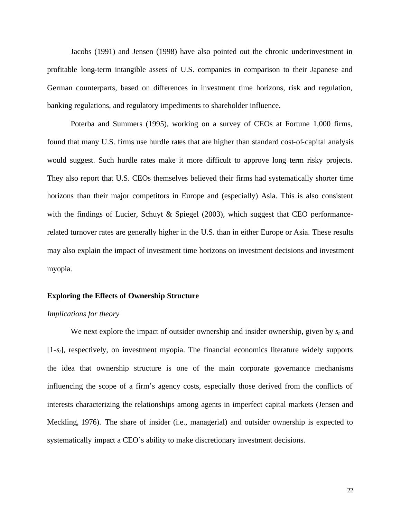Jacobs (1991) and Jensen (1998) have also pointed out the chronic underinvestment in profitable long-term intangible assets of U.S. companies in comparison to their Japanese and German counterparts, based on differences in investment time horizons, risk and regulation, banking regulations, and regulatory impediments to shareholder influence.

Poterba and Summers (1995), working on a survey of CEOs at Fortune 1,000 firms, found that many U.S. firms use hurdle rates that are higher than standard cost-of-capital analysis would suggest. Such hurdle rates make it more difficult to approve long term risky projects. They also report that U.S. CEOs themselves believed their firms had systematically shorter time horizons than their major competitors in Europe and (especially) Asia. This is also consistent with the findings of Lucier, Schuyt & Spiegel (2003), which suggest that CEO performancerelated turnover rates are generally higher in the U.S. than in either Europe or Asia. These results may also explain the impact of investment time horizons on investment decisions and investment myopia.

#### **Exploring the Effects of Ownership Structure**

## *Implications for theory*

We next explore the impact of outsider ownership and insider ownership, given by *st* and [1-*st*], respectively, on investment myopia. The financial economics literature widely supports the idea that ownership structure is one of the main corporate governance mechanisms influencing the scope of a firm's agency costs, especially those derived from the conflicts of interests characterizing the relationships among agents in imperfect capital markets (Jensen and Meckling, 1976). The share of insider (i.e., managerial) and outsider ownership is expected to systematically impact a CEO's ability to make discretionary investment decisions.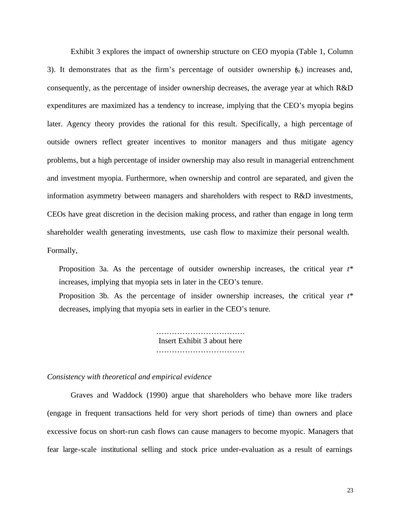Exhibit 3 explores the impact of ownership structure on CEO myopia (Table 1, Column 3). It demonstrates that as the firm's percentage of outsider ownership (*st*) increases and, consequently, as the percentage of insider ownership decreases, the average year at which R&D expenditures are maximized has a tendency to increase, implying that the CEO's myopia begins later. Agency theory provides the rational for this result. Specifically, a high percentage of outside owners reflect greater incentives to monitor managers and thus mitigate agency problems, but a high percentage of insider ownership may also result in managerial entrenchment and investment myopia. Furthermore, when ownership and control are separated, and given the information asymmetry between managers and shareholders with respect to R&D investments, CEOs have great discretion in the decision making process, and rather than engage in long term shareholder wealth generating investments, use cash flow to maximize their personal wealth. Formally,

Proposition 3a. As the percentage of outsider ownership increases, the critical year *t*\* increases, implying that myopia sets in later in the CEO's tenure.

Proposition 3b. As the percentage of insider ownership increases, the critical year *t*\* decreases, implying that myopia sets in earlier in the CEO's tenure.

> ……………………………………… Insert Exhibit 3 about here …………………………………

#### *Consistency with theoretical and empirical evidence*

Graves and Waddock (1990) argue that shareholders who behave more like traders (engage in frequent transactions held for very short periods of time) than owners and place excessive focus on short-run cash flows can cause managers to become myopic. Managers that fear large-scale institutional selling and stock price under-evaluation as a result of earnings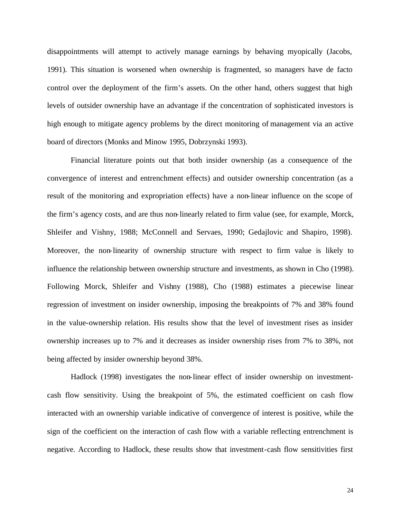disappointments will attempt to actively manage earnings by behaving myopically (Jacobs, 1991). This situation is worsened when ownership is fragmented, so managers have de facto control over the deployment of the firm's assets. On the other hand, others suggest that high levels of outsider ownership have an advantage if the concentration of sophisticated investors is high enough to mitigate agency problems by the direct monitoring of management via an active board of directors (Monks and Minow 1995, Dobrzynski 1993).

Financial literature points out that both insider ownership (as a consequence of the convergence of interest and entrenchment effects) and outsider ownership concentration (as a result of the monitoring and expropriation effects) have a non-linear influence on the scope of the firm's agency costs, and are thus non-linearly related to firm value (see, for example, Morck, Shleifer and Vishny, 1988; McConnell and Servaes, 1990; Gedajlovic and Shapiro, 1998). Moreover, the non-linearity of ownership structure with respect to firm value is likely to influence the relationship between ownership structure and investments, as shown in Cho (1998). Following Morck, Shleifer and Vishny (1988), Cho (1988) estimates a piecewise linear regression of investment on insider ownership, imposing the breakpoints of 7% and 38% found in the value-ownership relation. His results show that the level of investment rises as insider ownership increases up to 7% and it decreases as insider ownership rises from 7% to 38%, not being affected by insider ownership beyond 38%.

Hadlock (1998) investigates the non-linear effect of insider ownership on investmentcash flow sensitivity. Using the breakpoint of 5%, the estimated coefficient on cash flow interacted with an ownership variable indicative of convergence of interest is positive, while the sign of the coefficient on the interaction of cash flow with a variable reflecting entrenchment is negative. According to Hadlock, these results show that investment-cash flow sensitivities first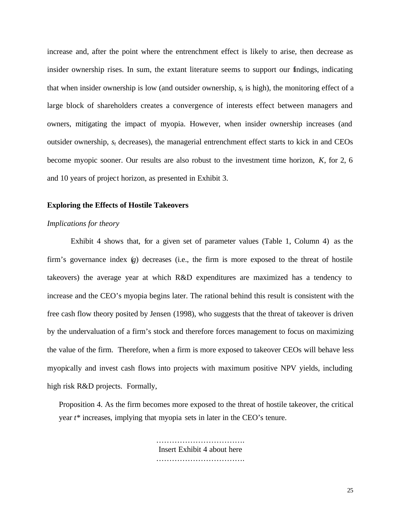increase and, after the point where the entrenchment effect is likely to arise, then decrease as insider ownership rises. In sum, the extant literature seems to support our findings, indicating that when insider ownership is low (and outsider ownership,  $s_t$  is high), the monitoring effect of a large block of shareholders creates a convergence of interests effect between managers and owners, mitigating the impact of myopia. However, when insider ownership increases (and outsider ownership, *st* decreases), the managerial entrenchment effect starts to kick in and CEOs become myopic sooner. Our results are also robust to the investment time horizon, *K*, for 2, 6 and 10 years of project horizon, as presented in Exhibit 3.

## **Exploring the Effects of Hostile Takeovers**

## *Implications for theory*

Exhibit 4 shows that, for a given set of parameter values (Table 1, Column 4) as the firm's governance index (*g*) decreases (i.e., the firm is more exposed to the threat of hostile takeovers) the average year at which R&D expenditures are maximized has a tendency to increase and the CEO's myopia begins later. The rational behind this result is consistent with the free cash flow theory posited by Jensen (1998), who suggests that the threat of takeover is driven by the undervaluation of a firm's stock and therefore forces management to focus on maximizing the value of the firm. Therefore, when a firm is more exposed to takeover CEOs will behave less myopically and invest cash flows into projects with maximum positive NPV yields, including high risk R&D projects. Formally,

Proposition 4. As the firm becomes more exposed to the threat of hostile takeover, the critical year *t*\* increases, implying that myopia sets in later in the CEO's tenure.

> ……………………………. Insert Exhibit 4 about here ………………………………………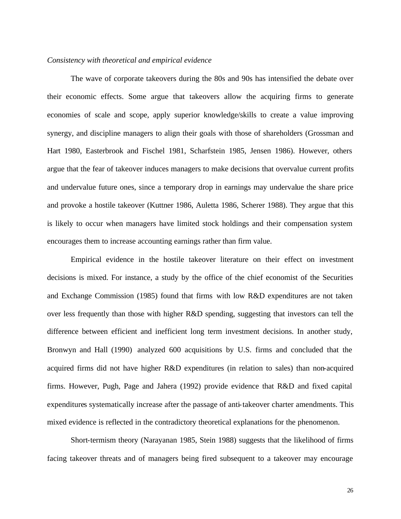#### *Consistency with theoretical and empirical evidence*

The wave of corporate takeovers during the 80s and 90s has intensified the debate over their economic effects. Some argue that takeovers allow the acquiring firms to generate economies of scale and scope, apply superior knowledge/skills to create a value improving synergy, and discipline managers to align their goals with those of shareholders (Grossman and Hart 1980, Easterbrook and Fischel 1981, Scharfstein 1985, Jensen 1986). However, others argue that the fear of takeover induces managers to make decisions that overvalue current profits and undervalue future ones, since a temporary drop in earnings may undervalue the share price and provoke a hostile takeover (Kuttner 1986, Auletta 1986, Scherer 1988). They argue that this is likely to occur when managers have limited stock holdings and their compensation system encourages them to increase accounting earnings rather than firm value.

Empirical evidence in the hostile takeover literature on their effect on investment decisions is mixed. For instance, a study by the office of the chief economist of the Securities and Exchange Commission (1985) found that firms with low R&D expenditures are not taken over less frequently than those with higher R&D spending, suggesting that investors can tell the difference between efficient and inefficient long term investment decisions. In another study, Bronwyn and Hall (1990) analyzed 600 acquisitions by U.S. firms and concluded that the acquired firms did not have higher R&D expenditures (in relation to sales) than non-acquired firms. However, Pugh, Page and Jahera (1992) provide evidence that R&D and fixed capital expenditures systematically increase after the passage of anti-takeover charter amendments. This mixed evidence is reflected in the contradictory theoretical explanations for the phenomenon.

Short-termism theory (Narayanan 1985, Stein 1988) suggests that the likelihood of firms facing takeover threats and of managers being fired subsequent to a takeover may encourage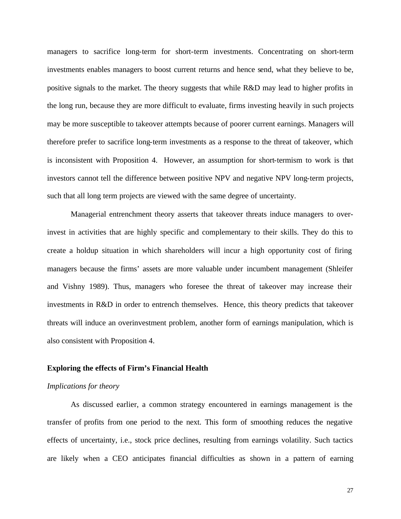managers to sacrifice long-term for short-term investments. Concentrating on short-term investments enables managers to boost current returns and hence send, what they believe to be, positive signals to the market. The theory suggests that while R&D may lead to higher profits in the long run, because they are more difficult to evaluate, firms investing heavily in such projects may be more susceptible to takeover attempts because of poorer current earnings. Managers will therefore prefer to sacrifice long-term investments as a response to the threat of takeover, which is inconsistent with Proposition 4. However, an assumption for short-termism to work is that investors cannot tell the difference between positive NPV and negative NPV long-term projects, such that all long term projects are viewed with the same degree of uncertainty.

Managerial entrenchment theory asserts that takeover threats induce managers to overinvest in activities that are highly specific and complementary to their skills. They do this to create a holdup situation in which shareholders will incur a high opportunity cost of firing managers because the firms' assets are more valuable under incumbent management (Shleifer and Vishny 1989). Thus, managers who foresee the threat of takeover may increase their investments in R&D in order to entrench themselves. Hence, this theory predicts that takeover threats will induce an overinvestment problem, another form of earnings manipulation, which is also consistent with Proposition 4.

## **Exploring the effects of Firm's Financial Health**

## *Implications for theory*

As discussed earlier, a common strategy encountered in earnings management is the transfer of profits from one period to the next. This form of smoothing reduces the negative effects of uncertainty, i.e., stock price declines, resulting from earnings volatility. Such tactics are likely when a CEO anticipates financial difficulties as shown in a pattern of earning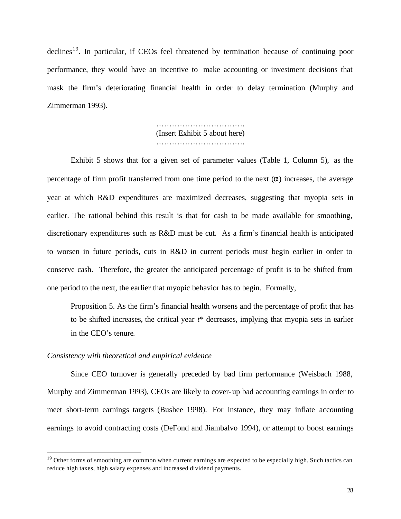$\text{declines}^{19}$ . In particular, if CEOs feel threatened by termination because of continuing poor performance, they would have an incentive to make accounting or investment decisions that mask the firm's deteriorating financial health in order to delay termination (Murphy and Zimmerman 1993).

> ……………………………………… (Insert Exhibit 5 about here) …………………………….

Exhibit 5 shows that for a given set of parameter values (Table 1, Column 5), as the percentage of firm profit transferred from one time period to the next (*a*) increases, the average year at which R&D expenditures are maximized decreases, suggesting that myopia sets in earlier. The rational behind this result is that for cash to be made available for smoothing, discretionary expenditures such as R&D must be cut. As a firm's financial health is anticipated to worsen in future periods, cuts in R&D in current periods must begin earlier in order to conserve cash. Therefore, the greater the anticipated percentage of profit is to be shifted from one period to the next, the earlier that myopic behavior has to begin. Formally,

Proposition 5. As the firm's financial health worsens and the percentage of profit that has to be shifted increases, the critical year *t*\* decreases, implying that myopia sets in earlier in the CEO's tenure.

#### *Consistency with theoretical and empirical evidence*

 $\overline{a}$ 

Since CEO turnover is generally preceded by bad firm performance (Weisbach 1988, Murphy and Zimmerman 1993), CEOs are likely to cover-up bad accounting earnings in order to meet short-term earnings targets (Bushee 1998). For instance, they may inflate accounting earnings to avoid contracting costs (DeFond and Jiambalvo 1994), or attempt to boost earnings

 $19$  Other forms of smoothing are common when current earnings are expected to be especially high. Such tactics can reduce high taxes, high salary expenses and increased dividend payments.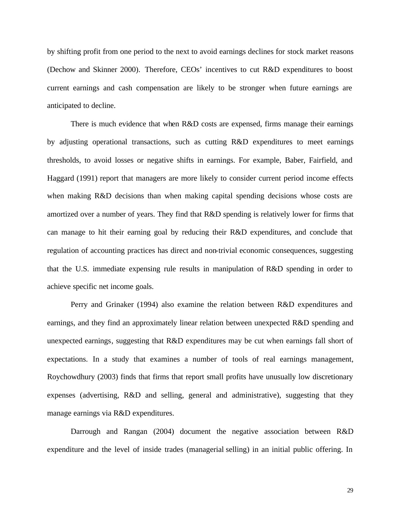by shifting profit from one period to the next to avoid earnings declines for stock market reasons (Dechow and Skinner 2000). Therefore, CEOs' incentives to cut R&D expenditures to boost current earnings and cash compensation are likely to be stronger when future earnings are anticipated to decline.

There is much evidence that when R&D costs are expensed, firms manage their earnings by adjusting operational transactions, such as cutting R&D expenditures to meet earnings thresholds, to avoid losses or negative shifts in earnings. For example, Baber, Fairfield, and Haggard (1991) report that managers are more likely to consider current period income effects when making R&D decisions than when making capital spending decisions whose costs are amortized over a number of years. They find that R&D spending is relatively lower for firms that can manage to hit their earning goal by reducing their R&D expenditures, and conclude that regulation of accounting practices has direct and non-trivial economic consequences, suggesting that the U.S. immediate expensing rule results in manipulation of R&D spending in order to achieve specific net income goals.

Perry and Grinaker (1994) also examine the relation between R&D expenditures and earnings, and they find an approximately linear relation between unexpected R&D spending and unexpected earnings, suggesting that R&D expenditures may be cut when earnings fall short of expectations. In a study that examines a number of tools of real earnings management, Roychowdhury (2003) finds that firms that report small profits have unusually low discretionary expenses (advertising, R&D and selling, general and administrative), suggesting that they manage earnings via R&D expenditures.

Darrough and Rangan (2004) document the negative association between R&D expenditure and the level of inside trades (managerial selling) in an initial public offering. In

29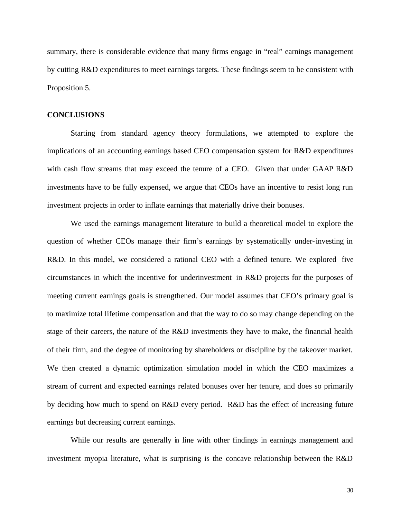summary, there is considerable evidence that many firms engage in "real" earnings management by cutting R&D expenditures to meet earnings targets. These findings seem to be consistent with Proposition 5.

#### **CONCLUSIONS**

Starting from standard agency theory formulations, we attempted to explore the implications of an accounting earnings based CEO compensation system for R&D expenditures with cash flow streams that may exceed the tenure of a CEO. Given that under GAAP R&D investments have to be fully expensed, we argue that CEOs have an incentive to resist long run investment projects in order to inflate earnings that materially drive their bonuses.

We used the earnings management literature to build a theoretical model to explore the question of whether CEOs manage their firm's earnings by systematically under-investing in R&D. In this model, we considered a rational CEO with a defined tenure. We explored five circumstances in which the incentive for underinvestment in R&D projects for the purposes of meeting current earnings goals is strengthened. Our model assumes that CEO's primary goal is to maximize total lifetime compensation and that the way to do so may change depending on the stage of their careers, the nature of the R&D investments they have to make, the financial health of their firm, and the degree of monitoring by shareholders or discipline by the takeover market. We then created a dynamic optimization simulation model in which the CEO maximizes a stream of current and expected earnings related bonuses over her tenure, and does so primarily by deciding how much to spend on R&D every period. R&D has the effect of increasing future earnings but decreasing current earnings.

While our results are generally in line with other findings in earnings management and investment myopia literature, what is surprising is the concave relationship between the R&D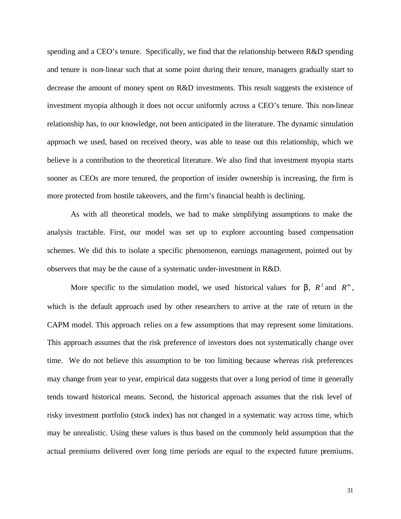spending and a CEO's tenure. Specifically, we find that the relationship between R&D spending and tenure is non-linear such that at some point during their tenure, managers gradually start to decrease the amount of money spent on R&D investments. This result suggests the existence of investment myopia although it does not occur uniformly across a CEO's tenure. This non-linear relationship has, to our knowledge, not been anticipated in the literature. The dynamic simulation approach we used, based on received theory, was able to tease out this relationship, which we believe is a contribution to the theoretical literature. We also find that investment myopia starts sooner as CEOs are more tenured, the proportion of insider ownership is increasing, the firm is more protected from hostile takeovers, and the firm's financial health is declining.

As with all theoretical models, we had to make simplifying assumptions to make the analysis tractable. First, our model was set up to explore accounting based compensation schemes. We did this to isolate a specific phenomenon, earnings management, pointed out by observers that may be the cause of a systematic under-investment in R&D.

More specific to the simulation model, we used historical values for **b**,  $R^f$  and  $R^m$ , which is the default approach used by other researchers to arrive at the rate of return in the CAPM model. This approach relies on a few assumptions that may represent some limitations. This approach assumes that the risk preference of investors does not systematically change over time. We do not believe this assumption to be too limiting because whereas risk preferences may change from year to year, empirical data suggests that over a long period of time it generally tends toward historical means. Second, the historical approach assumes that the risk level of risky investment portfolio (stock index) has not changed in a systematic way across time, which may be unrealistic. Using these values is thus based on the commonly held assumption that the actual premiums delivered over long time periods are equal to the expected future premiums.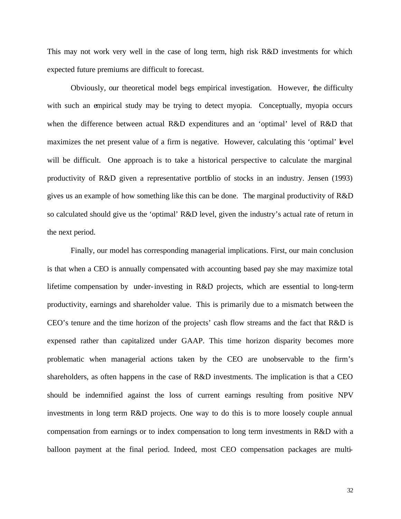This may not work very well in the case of long term, high risk R&D investments for which expected future premiums are difficult to forecast.

Obviously, our theoretical model begs empirical investigation. However, the difficulty with such an empirical study may be trying to detect myopia. Conceptually, myopia occurs when the difference between actual R&D expenditures and an 'optimal' level of R&D that maximizes the net present value of a firm is negative. However, calculating this 'optimal' level will be difficult. One approach is to take a historical perspective to calculate the marginal productivity of R&D given a representative portfolio of stocks in an industry. Jensen (1993) gives us an example of how something like this can be done. The marginal productivity of R&D so calculated should give us the 'optimal' R&D level, given the industry's actual rate of return in the next period.

Finally, our model has corresponding managerial implications. First, our main conclusion is that when a CEO is annually compensated with accounting based pay she may maximize total lifetime compensation by under-investing in R&D projects, which are essential to long-term productivity, earnings and shareholder value. This is primarily due to a mismatch between the CEO's tenure and the time horizon of the projects' cash flow streams and the fact that R&D is expensed rather than capitalized under GAAP. This time horizon disparity becomes more problematic when managerial actions taken by the CEO are unobservable to the firm's shareholders, as often happens in the case of R&D investments. The implication is that a CEO should be indemnified against the loss of current earnings resulting from positive NPV investments in long term R&D projects. One way to do this is to more loosely couple annual compensation from earnings or to index compensation to long term investments in R&D with a balloon payment at the final period. Indeed, most CEO compensation packages are multi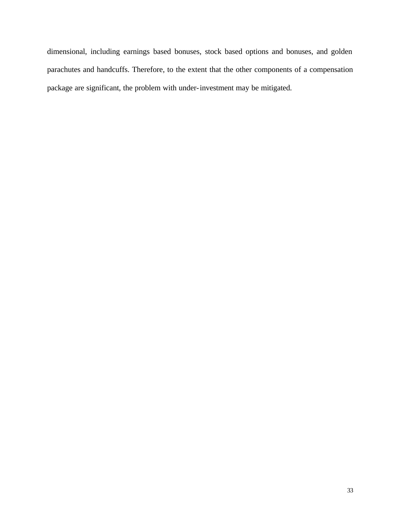dimensional, including earnings based bonuses, stock based options and bonuses, and golden parachutes and handcuffs. Therefore, to the extent that the other components of a compensation package are significant, the problem with under-investment may be mitigated.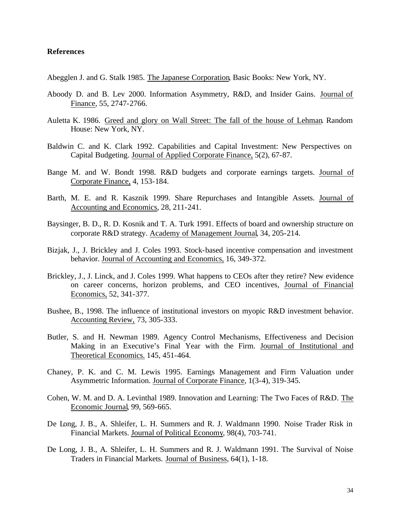## **References**

Abegglen J. and G. Stalk 1985. The Japanese Corporation, Basic Books: New York, NY.

- Aboody D. and B. Lev 2000. Information Asymmetry, R&D, and Insider Gains. Journal of Finance, 55, 2747-2766.
- Auletta K. 1986. Greed and glory on Wall Street: The fall of the house of Lehman. Random House: New York, NY.
- Baldwin C. and K. Clark 1992. Capabilities and Capital Investment: New Perspectives on Capital Budgeting. Journal of Applied Corporate Finance, 5(2), 67-87.
- Bange M. and W. Bondt 1998. R&D budgets and corporate earnings targets. Journal of Corporate Finance, 4, 153-184.
- Barth, M. E. and R. Kasznik 1999. Share Repurchases and Intangible Assets. Journal of Accounting and Economics, 28, 211-241.
- Baysinger, B. D., R. D. Kosnik and T. A. Turk 1991. Effects of board and ownership structure on corporate R&D strategy. Academy of Management Journal, 34, 205-214.
- Bizjak, J., J. Brickley and J. Coles 1993. Stock-based incentive compensation and investment behavior. Journal of Accounting and Economics, 16, 349-372.
- Brickley, J., J. Linck, and J. Coles 1999. What happens to CEOs after they retire? New evidence on career concerns, horizon problems, and CEO incentives, Journal of Financial Economics, 52, 341-377.
- Bushee, B., 1998. The influence of institutional investors on myopic R&D investment behavior. Accounting Review, 73, 305-333.
- Butler, S. and H. Newman 1989. Agency Control Mechanisms, Effectiveness and Decision Making in an Executive's Final Year with the Firm. Journal of Institutional and Theoretical Economics. 145, 451-464.
- Chaney, P. K. and C. M. Lewis 1995. Earnings Management and Firm Valuation under Asymmetric Information. Journal of Corporate Finance, 1(3-4), 319-345.
- Cohen, W. M. and D. A. Levinthal 1989. Innovation and Learning: The Two Faces of R&D. The Economic Journal, 99, 569-665.
- De Long, J. B., A. Shleifer, L. H. Summers and R. J. Waldmann 1990. Noise Trader Risk in Financial Markets. Journal of Political Economy, 98(4), 703-741.
- De Long, J. B., A. Shleifer, L. H. Summers and R. J. Waldmann 1991. The Survival of Noise Traders in Financial Markets. Journal of Business, 64(1), 1-18.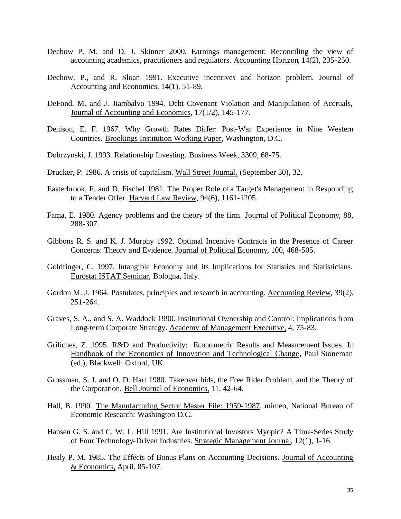- Dechow P. M. and D. J. Skinner 2000. Earnings management: Reconciling the view of accounting academics, practitioners and regulators. Accounting Horizon, 14(2), 235-250.
- Dechow, P., and R. Sloan 1991. Executive incentives and horizon problem. Journal of Accounting and Economics, 14(1), 51-89.
- DeFond, M. and J. Jiambalvo 1994. Debt Covenant Violation and Manipulation of Accruals, Journal of Accounting and Economics, 17(1/2), 145-177.
- Denison, E. F. 1967. Why Growth Rates Differ: Post-War Experience in Nine Western Countries. Brookings Institution Working Paper, Washington, D.C.
- Dobrzynski, J. 1993. Relationship Investing. Business Week, 3309, 68-75.
- Drucker, P. 1986. A crisis of capitalism. Wall Street Journal, (September 30), 32.
- Easterbrook, F. and D. Fischel 1981. The Proper Role of a Target's Management in Responding to a Tender Offer. Harvard Law Review, 94(6), 1161-1205.
- Fama, E. 1980. Agency problems and the theory of the firm. Journal of Political Economy, 88, 288-307.
- Gibbons R. S. and K. J. Murphy 1992. Optimal Incentive Contracts in the Presence of Career Concerns: Theory and Evidence. Journal of Political Economy, 100, 468-505.
- Goldfinger, C. 1997. Intangible Economy and Its Implications for Statistics and Statisticians. Eurostat ISTAT Seminar, Bologna, Italy.
- Gordon M. J. 1964. Postulates, principles and research in accounting. Accounting Review, 39(2), 251-264.
- Graves, S. A., and S. A. Waddock 1990. Institutional Ownership and Control: Implications from Long-term Corporate Strategy. Academy of Management Executive, 4, 75-83.
- Griliches, Z. 1995. R&D and Productivity: Econometric Results and Measurement Issues. In Handbook of the Economics of Innovation and Technological Change, Paul Stoneman (ed.), Blackwell: Oxford, UK.
- Grossman, S. J. and O. D. Hart 1980. Takeover bids, the Free Rider Problem, and the Theory of the Corporation. Bell Journal of Economics, 11, 42-64.
- Hall, B. 1990. The Manufacturing Sector Master File: 1959-1987. mimeo, National Bureau of Economic Research: Washington D.C.
- Hansen G. S. and C. W. L. Hill 1991. Are Institutional Investors Myopic? A Time-Series Study of Four Technology-Driven Industries. Strategic Management Journal, 12(1), 1-16.
- Healy P. M. 1985. The Effects of Bonus Plans on Accounting Decisions. Journal of Accounting & Economics, April, 85-107.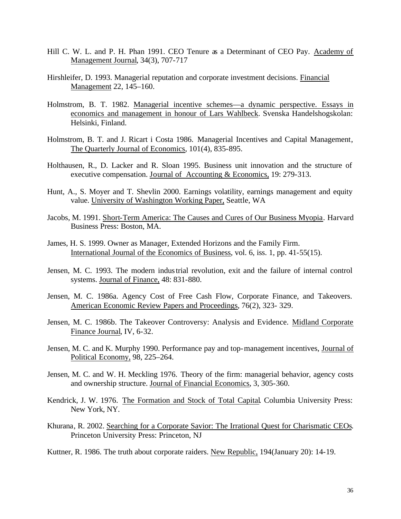- Hill C. W. L. and P. H. Phan 1991. CEO Tenure as a Determinant of CEO Pay. Academy of Management Journal, 34(3), 707-717
- Hirshleifer, D. 1993. Managerial reputation and corporate investment decisions. Financial Management 22, 145–160.
- Holmstrom, B. T. 1982. Managerial incentive schemes—a dynamic perspective. Essays in economics and management in honour of Lars Wahlbeck. Svenska Handelshogskolan: Helsinki, Finland.
- Holmstrom, B. T. and J. Ricart i Costa 1986. Managerial Incentives and Capital Management, The Quarterly Journal of Economics, 101(4), 835-895.
- Holthausen, R., D. Lacker and R. Sloan 1995. Business unit innovation and the structure of executive compensation. Journal of Accounting & Economics, 19: 279-313.
- Hunt, A., S. Moyer and T. Shevlin 2000. Earnings volatility, earnings management and equity value. University of Washington Working Paper, Seattle, WA
- Jacobs, M. 1991. Short-Term America: The Causes and Cures of Our Business Myopia. Harvard Business Press: Boston, MA.
- James, H. S. 1999. Owner as Manager, Extended Horizons and the Family Firm. International Journal of the Economics of Business, vol. 6, iss. 1, pp. 41-55(15).
- Jensen, M. C. 1993. The modern industrial revolution, exit and the failure of internal control systems. Journal of Finance, 48: 831-880.
- Jensen, M. C. 1986a. Agency Cost of Free Cash Flow, Corporate Finance, and Takeovers. American Economic Review Papers and Proceedings, 76(2), 323- 329.
- Jensen, M. C. 1986b. The Takeover Controversy: Analysis and Evidence. Midland Corporate Finance Journal, IV, 6-32.
- Jensen, M. C. and K. Murphy 1990. Performance pay and top-management incentives, Journal of Political Economy, 98, 225–264.
- Jensen, M. C. and W. H. Meckling 1976. Theory of the firm: managerial behavior, agency costs and ownership structure. Journal of Financial Economics, 3, 305-360.
- Kendrick, J. W. 1976. The Formation and Stock of Total Capital. Columbia University Press: New York, NY.
- Khurana, R. 2002. Searching for a Corporate Savior: The Irrational Quest for Charismatic CEOs. Princeton University Press: Princeton, NJ
- Kuttner, R. 1986. The truth about corporate raiders. New Republic, 194(January 20): 14-19.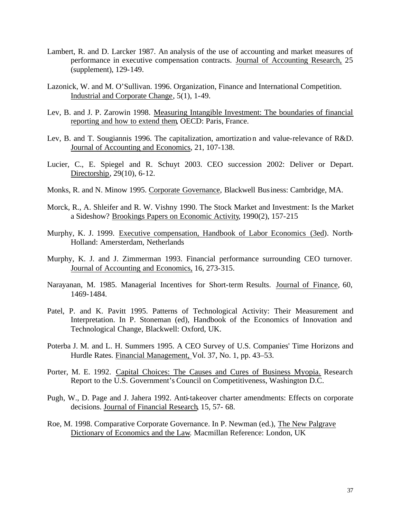- Lambert, R. and D. Larcker 1987. An analysis of the use of accounting and market measures of performance in executive compensation contracts. Journal of Accounting Research, 25 (supplement), 129-149.
- Lazonick, W. and M. O'Sullivan. 1996. Organization, Finance and International Competition. Industrial and Corporate Change, 5(1), 1-49.
- Lev, B. and J. P. Zarowin 1998. Measuring Intangible Investment: The boundaries of financial reporting and how to extend them, OECD: Paris, France.
- Lev, B. and T. Sougiannis 1996. The capitalization, amortization and value-relevance of R&D. Journal of Accounting and Economics, 21, 107-138.
- Lucier, C., E. Spiegel and R. Schuyt 2003. CEO succession 2002: Deliver or Depart. Directorship, 29(10), 6-12.
- Monks, R. and N. Minow 1995. Corporate Governance, Blackwell Business: Cambridge, MA.
- Morck, R., A. Shleifer and R. W. Vishny 1990. The Stock Market and Investment: Is the Market a Sideshow? Brookings Papers on Economic Activity, 1990(2), 157-215
- Murphy, K. J. 1999. Executive compensation, Handbook of Labor Economics (3ed). North-Holland: Amersterdam, Netherlands
- Murphy, K. J. and J. Zimmerman 1993. Financial performance surrounding CEO turnover. Journal of Accounting and Economics, 16, 273-315.
- Narayanan, M. 1985. Managerial Incentives for Short-term Results. Journal of Finance, 60, 1469-1484.
- Patel, P. and K. Pavitt 1995. Patterns of Technological Activity: Their Measurement and Interpretation. In P. Stoneman (ed), Handbook of the Economics of Innovation and Technological Change, Blackwell: Oxford, UK.
- Poterba J. M. and L. H. Summers 1995. A CEO Survey of U.S. Companies' Time Horizons and Hurdle Rates. Financial Management, Vol. 37, No. 1, pp. 43–53.
- Porter, M. E. 1992. Capital Choices: The Causes and Cures of Business Myopia. Research Report to the U.S. Government's Council on Competitiveness, Washington D.C.
- Pugh, W., D. Page and J. Jahera 1992. Anti-takeover charter amendments: Effects on corporate decisions. Journal of Financial Research, 15, 57- 68.
- Roe, M. 1998. Comparative Corporate Governance. In P. Newman (ed.), The New Palgrave Dictionary of Economics and the Law*.* Macmillan Reference: London, UK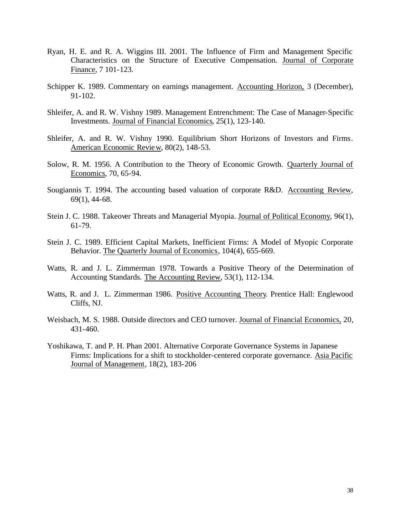- Ryan, H. E. and R. A. Wiggins III. 2001. The Influence of Firm and Management Specific Characteristics on the Structure of Executive Compensation. Journal of Corporate Finance, 7 101-123.
- Schipper K. 1989. Commentary on earnings management. Accounting Horizon, 3 (December), 91-102.
- Shleifer, A. and R. W. Vishny 1989. Management Entrenchment: The Case of Manager-Specific Investments. Journal of Financial Economics, 25(1), 123-140.
- Shleifer, A. and R. W. Vishny 1990. Equilibrium Short Horizons of Investors and Firms. American Economic Review, 80(2), 148-53.
- Solow, R. M. 1956. A Contribution to the Theory of Economic Growth. Quarterly Journal of Economics, 70, 65-94.
- Sougiannis T. 1994. The accounting based valuation of corporate R&D. Accounting Review, 69(1), 44-68.
- Stein J. C. 1988. Takeover Threats and Managerial Myopia. Journal of Political Economy, 96(1), 61-79.
- Stein J. C. 1989. Efficient Capital Markets, Inefficient Firms: A Model of Myopic Corporate Behavior. The Quarterly Journal of Economics, 104(4), 655-669.
- Watts, R. and J. L. Zimmerman 1978. Towards a Positive Theory of the Determination of Accounting Standards. The Accounting Review, 53(1), 112-134.
- Watts, R. and J. L. Zimmerman 1986. Positive Accounting Theory. Prentice Hall: Englewood Cliffs, NJ.
- Weisbach, M. S. 1988. Outside directors and CEO turnover. Journal of Financial Economics, 20, 431-460.
- Yoshikawa, T. and P. H. Phan 2001. Alternative Corporate Governance Systems in Japanese Firms: Implications for a shift to stockholder-centered corporate governance. Asia Pacific Journal of Management, 18(2), 183-206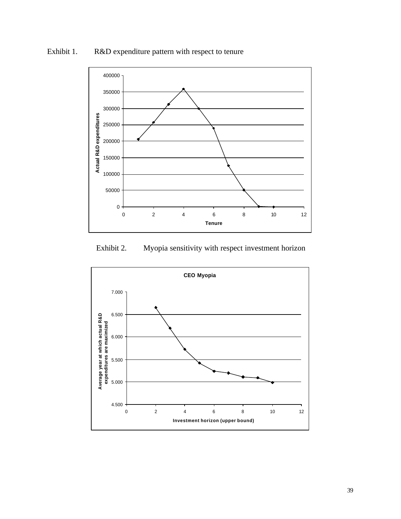





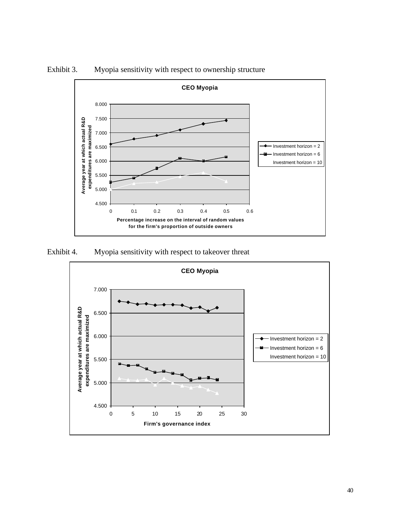

Exhibit 3. Myopia sensitivity with respect to ownership structure

Exhibit 4. Myopia sensitivity with respect to takeover threat

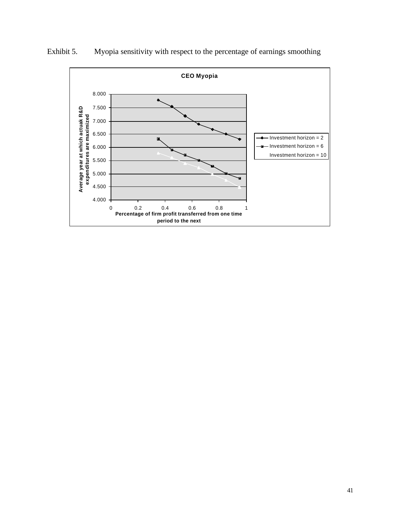

Exhibit 5. Myopia sensitivity with respect to the percentage of earnings smoothing